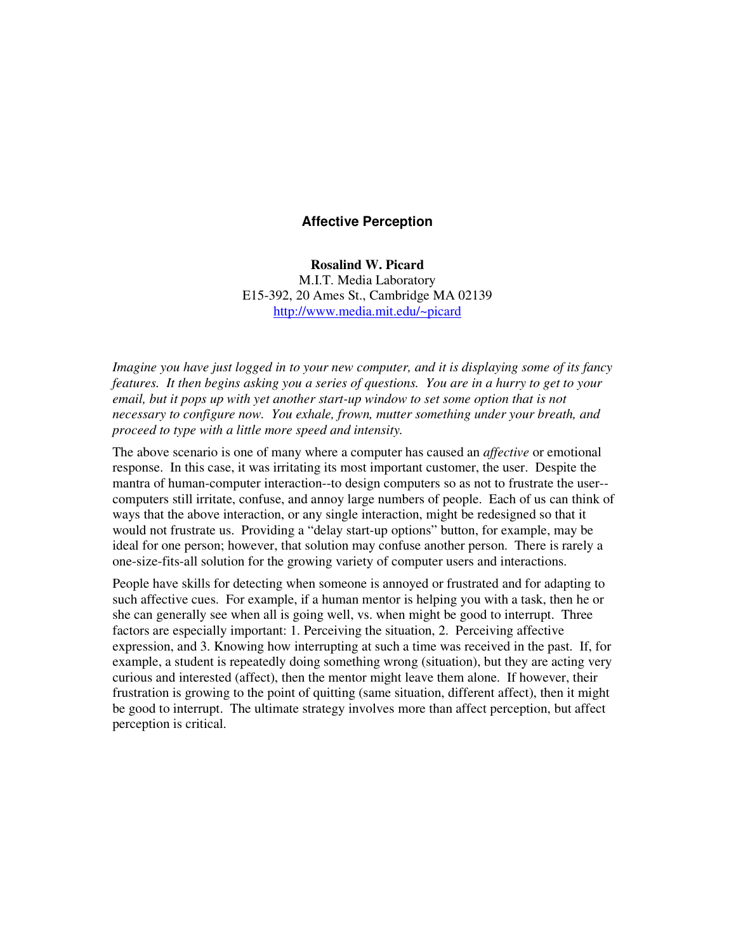## **Affective Perception**

**Rosalind W. Picard** M.I.T. Media Laboratory E15-392, 20 Ames St., Cambridge MA 02139 http://www.media.mit.edu/~picard

*Imagine you have just logged in to your new computer, and it is displaying some of its fancy* features. It then begins asking you a series of questions. You are in a hurry to get to your *email, but it pops up with yet another start-up window to set some option that is not necessary to configure now. You exhale, frown, mutter something under your breath, and proceed to type with a little more speed and intensity.*

The above scenario is one of many where a computer has caused an *affective* or emotional response. In this case, it was irritating its most important customer, the user. Despite the mantra of human-computer interaction--to design computers so as not to frustrate the user- computers still irritate, confuse, and annoy large numbers of people. Each of us can think of ways that the above interaction, or any single interaction, might be redesigned so that it would not frustrate us. Providing a "delay start-up options" button, for example, may be ideal for one person; however, that solution may confuse another person. There is rarely a one-size-fits-all solution for the growing variety of computer users and interactions.

People have skills for detecting when someone is annoyed or frustrated and for adapting to such affective cues. For example, if a human mentor is helping you with a task, then he or she can generally see when all is going well, vs. when might be good to interrupt. Three factors are especially important: 1. Perceiving the situation, 2. Perceiving affective expression, and 3. Knowing how interrupting at such a time was received in the past. If, for example, a student is repeatedly doing something wrong (situation), but they are acting very curious and interested (affect), then the mentor might leave them alone. If however, their frustration is growing to the point of quitting (same situation, different affect), then it might be good to interrupt. The ultimate strategy involves more than affect perception, but affect perception is critical.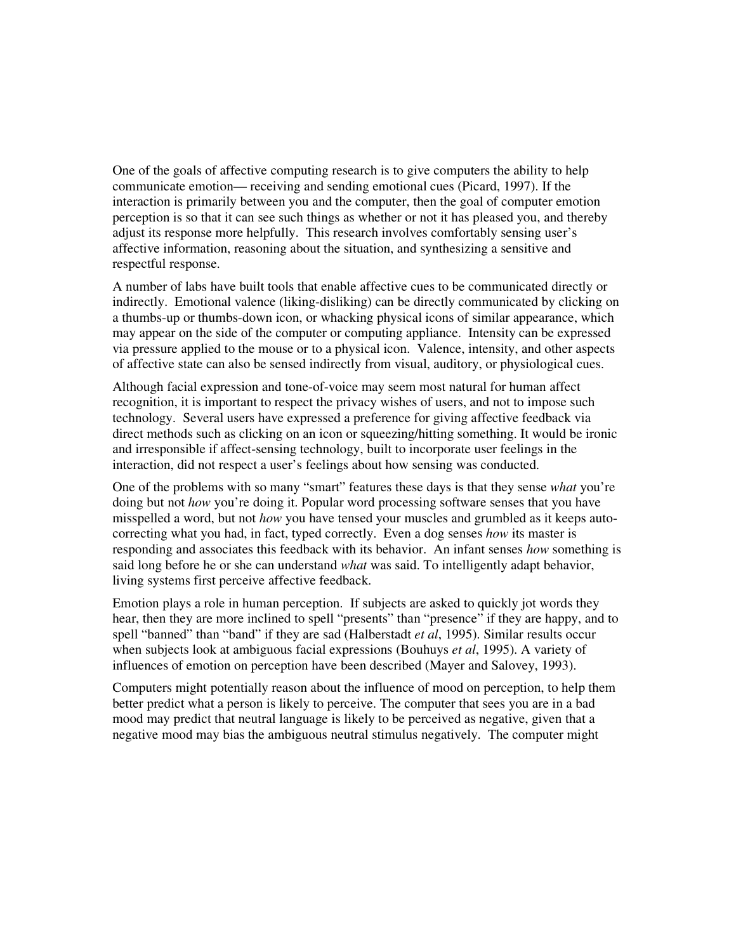One of the goals of affective computing research is to give computers the ability to help communicate emotion— receiving and sending emotional cues (Picard, 1997). If the interaction is primarily between you and the computer, then the goal of computer emotion perception is so that it can see such things as whether or not it has pleased you, and thereby adjust its response more helpfully. This research involves comfortably sensing user's affective information, reasoning about the situation, and synthesizing a sensitive and respectful response.

A number of labs have built tools that enable affective cues to be communicated directly or indirectly. Emotional valence (liking-disliking) can be directly communicated by clicking on a thumbs-up or thumbs-down icon, or whacking physical icons of similar appearance, which may appear on the side of the computer or computing appliance. Intensity can be expressed via pressure applied to the mouse or to a physical icon. Valence, intensity, and other aspects of affective state can also be sensed indirectly from visual, auditory, or physiological cues.

Although facial expression and tone-of-voice may seem most natural for human affect recognition, it is important to respect the privacy wishes of users, and not to impose such technology. Several users have expressed a preference for giving affective feedback via direct methods such as clicking on an icon or squeezing/hitting something. It would be ironic and irresponsible if affect-sensing technology, built to incorporate user feelings in the interaction, did not respect a user's feelings about how sensing was conducted.

One of the problems with so many "smart" features these days is that they sense *what* you're doing but not *how* you're doing it. Popular word processing software senses that you have misspelled a word, but not *how* you have tensed your muscles and grumbled as it keeps autocorrecting what you had, in fact, typed correctly. Even a dog senses *how* its master is responding and associates this feedback with its behavior. An infant senses *how* something is said long before he or she can understand *what* was said. To intelligently adapt behavior, living systems first perceive affective feedback.

Emotion plays a role in human perception. If subjects are asked to quickly jot words they hear, then they are more inclined to spell "presents" than "presence" if they are happy, and to spell "banned" than "band" if they are sad (Halberstadt *et al*, 1995). Similar results occur when subjects look at ambiguous facial expressions (Bouhuys *et al*, 1995). A variety of influences of emotion on perception have been described (Mayer and Salovey, 1993).

Computers might potentially reason about the influence of mood on perception, to help them better predict what a person is likely to perceive. The computer that sees you are in a bad mood may predict that neutral language is likely to be perceived as negative, given that a negative mood may bias the ambiguous neutral stimulus negatively. The computer might